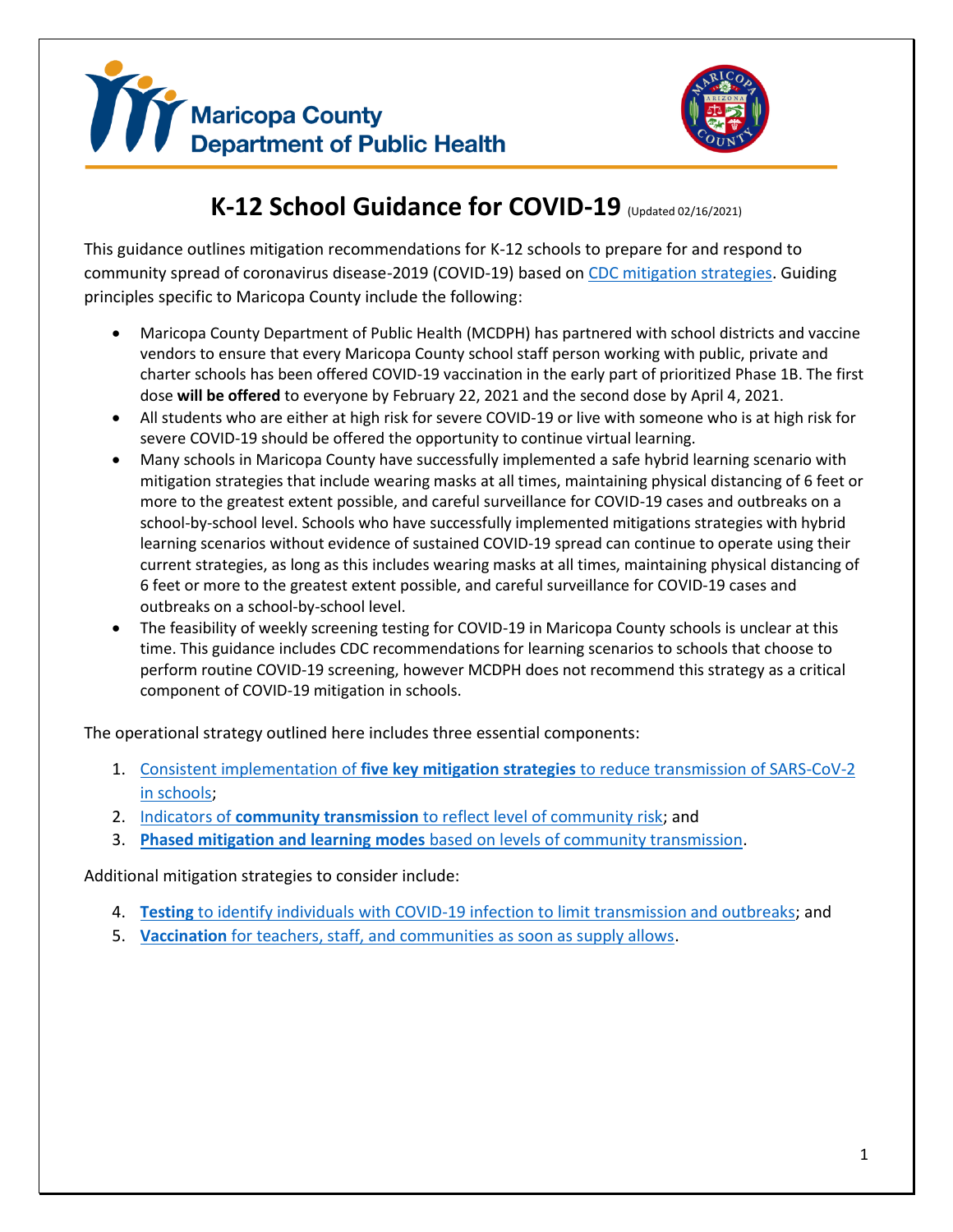



# **K-12 School Guidance for COVID-19** (Updated 02/16/2021)

This guidance outlines mitigation recommendations for K-12 schools to prepare for and respond to community spread of coronavirus disease-2019 (COVID-19) based on [CDC mitigation strategies.](https://www.cdc.gov/coronavirus/2019-ncov/community/schools-childcare/operation-strategy.html) Guiding principles specific to Maricopa County include the following:

- Maricopa County Department of Public Health (MCDPH) has partnered with school districts and vaccine vendors to ensure that every Maricopa County school staff person working with public, private and charter schools has been offered COVID-19 vaccination in the early part of prioritized Phase 1B. The first dose **will be offered** to everyone by February 22, 2021 and the second dose by April 4, 2021.
- All students who are either at high risk for severe COVID-19 or live with someone who is at high risk for severe COVID-19 should be offered the opportunity to continue virtual learning.
- Many schools in Maricopa County have successfully implemented a safe hybrid learning scenario with mitigation strategies that include wearing masks at all times, maintaining physical distancing of 6 feet or more to the greatest extent possible, and careful surveillance for COVID-19 cases and outbreaks on a school-by-school level. Schools who have successfully implemented mitigations strategies with hybrid learning scenarios without evidence of sustained COVID-19 spread can continue to operate using their current strategies, as long as this includes wearing masks at all times, maintaining physical distancing of 6 feet or more to the greatest extent possible, and careful surveillance for COVID-19 cases and outbreaks on a school-by-school level.
- The feasibility of weekly screening testing for COVID-19 in Maricopa County schools is unclear at this time. This guidance includes CDC recommendations for learning scenarios to schools that choose to perform routine COVID-19 screening, however MCDPH does not recommend this strategy as a critical component of COVID-19 mitigation in schools.

The operational strategy outlined here includes three essential components:

- 1. Consistent implementation of **five key mitigation strategies** [to reduce transmission of SARS-CoV-2](#page-1-0)  [in schools;](#page-1-0)
- 2. Indicators of **community transmission** [to reflect level of community risk;](#page-2-0) and
- 3. **Phased mitigation and learning modes** [based on levels of community transmission.](#page-3-0)

Additional mitigation strategies to consider include:

- 4. **Testing** [to identify individuals with COVID-19 infection to limit transmission and outbreaks;](#page-6-0) and
- <span id="page-0-0"></span>5. **Vaccination** [for teachers, staff, and communities as soon as supply allows.](#page-6-1)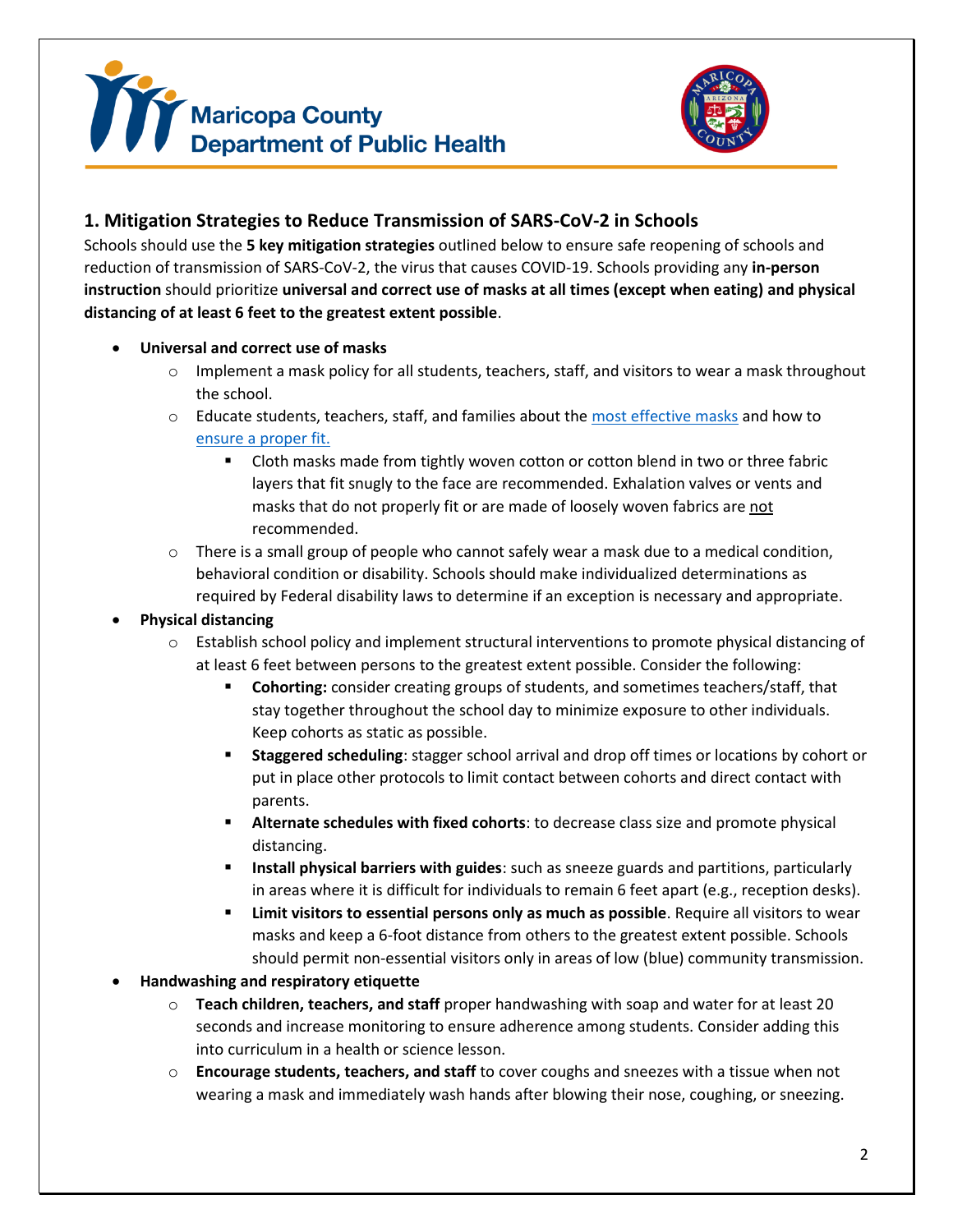



## <span id="page-1-0"></span>**1. Mitigation Strategies to Reduce Transmission of SARS-CoV-2 in Schools**

Schools should use the **5 key mitigation strategies** outlined below to ensure safe reopening of schools and reduction of transmission of SARS-CoV-2, the virus that causes COVID-19. Schools providing any **in-person instruction** should prioritize **universal and correct use of masks at all times (except when eating) and physical distancing of at least 6 feet to the greatest extent possible**.

- **Universal and correct use of masks**
	- $\circ$  Implement a mask policy for all students, teachers, staff, and visitors to wear a mask throughout the school.
	- $\circ$  Educate students, teachers, staff, and families about the [most effective masks](https://www.cdc.gov/coronavirus/2019-ncov/prevent-getting-sick/about-face-coverings.html) and how to ensure [a proper fit.](https://www.cdc.gov/coronavirus/2019-ncov/prevent-getting-sick/mask-fit-and-filtration.html)
		- Cloth masks made from tightly woven cotton or cotton blend in two or three fabric layers that fit snugly to the face are recommended. Exhalation valves or vents and masks that do not properly fit or are made of loosely woven fabrics are not recommended.
	- $\circ$  There is a small group of people who cannot safely wear a mask due to a medical condition, behavioral condition or disability. Schools should make individualized determinations as required by Federal disability laws to determine if an exception is necessary and appropriate.
- **Physical distancing**
	- o Establish school policy and implement structural interventions to promote physical distancing of at least 6 feet between persons to the greatest extent possible. Consider the following:
		- **Cohorting:** consider creating groups of students, and sometimes teachers/staff, that stay together throughout the school day to minimize exposure to other individuals. Keep cohorts as static as possible.
		- **Staggered scheduling**: stagger school arrival and drop off times or locations by cohort or put in place other protocols to limit contact between cohorts and direct contact with parents.
		- Alternate schedules with fixed cohorts: to decrease class size and promote physical distancing.
		- **EXEDENT INSTALLY INSTALLY IN STARK IN STARK IN STARK IN STARK INCOLLY INCOLLY INTEGLARY IN STARK IN STARK INTEGLARY** in areas where it is difficult for individuals to remain 6 feet apart (e.g., reception desks).
		- Limit visitors to essential persons only as much as possible. Require all visitors to wear masks and keep a 6-foot distance from others to the greatest extent possible. Schools should permit non-essential visitors only in areas of low (blue) community transmission.
- **Handwashing and respiratory etiquette**
	- o **Teach children, teachers, and staff** proper handwashing with soap and water for at least 20 seconds and increase monitoring to ensure adherence among students. Consider adding this into curriculum in a health or science lesson.
	- o **Encourage students, teachers, and staff** to cover coughs and sneezes with a tissue when not wearing a mask and immediately wash hands after blowing their nose, coughing, or sneezing.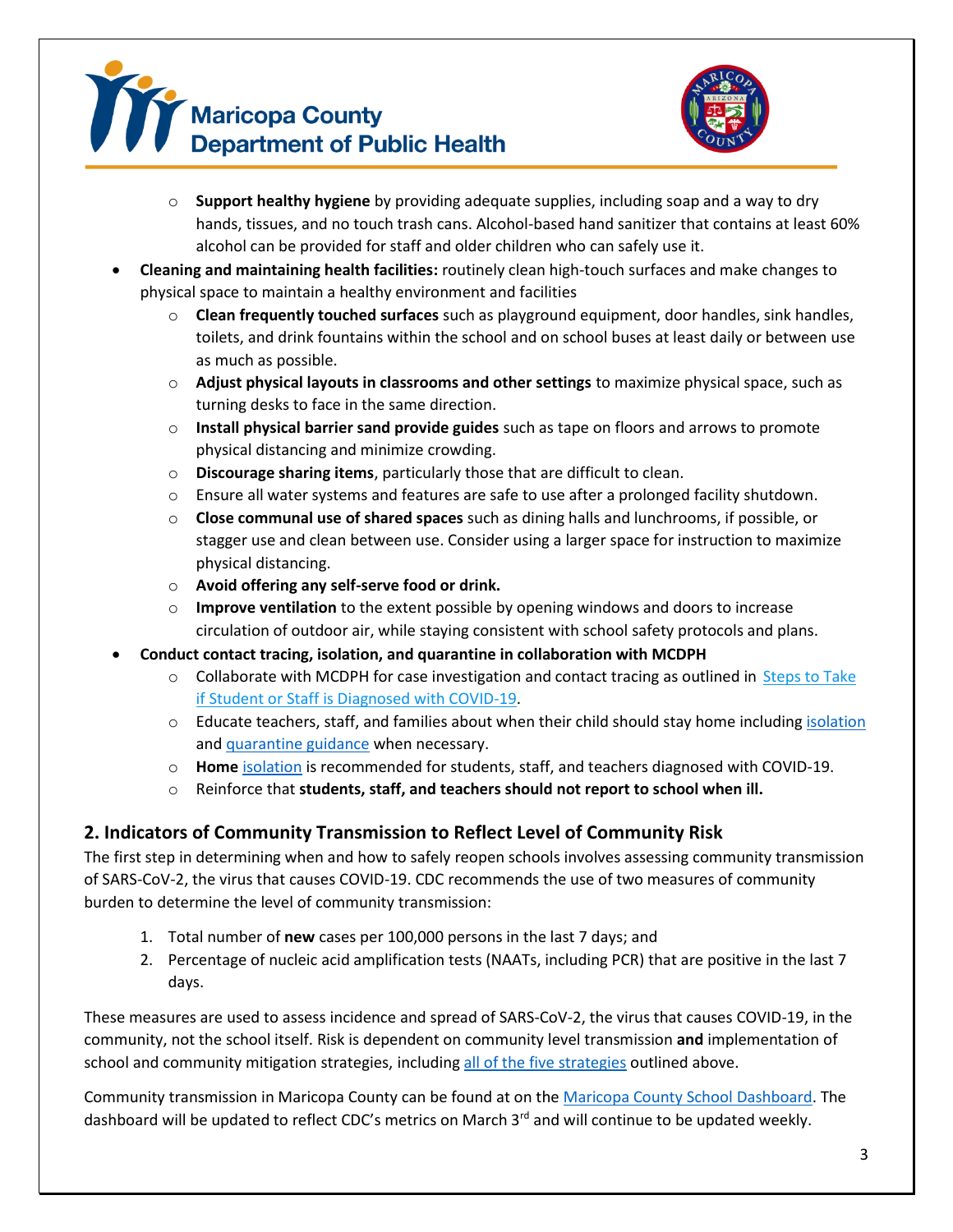



- o **Support healthy hygiene** by providing adequate supplies, including soap and a way to dry hands, tissues, and no touch trash cans. Alcohol-based hand sanitizer that contains at least 60% alcohol can be provided for staff and older children who can safely use it.
- **Cleaning and maintaining health facilities:** routinely clean high-touch surfaces and make changes to physical space to maintain a healthy environment and facilities
	- o **Clean frequently touched surfaces** such as playground equipment, door handles, sink handles, toilets, and drink fountains within the school and on school buses at least daily or between use as much as possible.
	- o **Adjust physical layouts in classrooms and other settings** to maximize physical space, such as turning desks to face in the same direction.
	- o **Install physical barrier sand provide guides** such as tape on floors and arrows to promote physical distancing and minimize crowding.
	- o **Discourage sharing items**, particularly those that are difficult to clean.
	- o Ensure all water systems and features are safe to use after a prolonged facility shutdown.
	- o **Close communal use of shared spaces** such as dining halls and lunchrooms, if possible, or stagger use and clean between use. Consider using a larger space for instruction to maximize physical distancing.
	- o **Avoid offering any self-serve food or drink.**
	- o **Improve ventilation** to the extent possible by opening windows and doors to increase circulation of outdoor air, while staying consistent with school safety protocols and plans.
- **Conduct contact tracing, isolation, and quarantine in collaboration with MCDPH**
	- $\circ$  Collaborate with MCDPH for case investigation and contact tracing as outlined in Steps to Take [if Student or Staff is Diagnosed with COVID-19.](https://www.maricopa.gov/DocumentCenter/View/62155/Steps-to-Take-if-Student-or-Staff-is-Diagnosed-with-COVID-19)
	- $\circ$  Educate teachers, staff, and families about when their child should stay home including [isolation](https://www.maricopa.gov/DocumentCenter/View/58863/Home-Isolation-Guidance?bidId=) and [quarantine guidance](https://www.maricopa.gov/DocumentCenter/View/58864/Quarantine-and-Social-Distancing-Guidelines) when necessary.
	- o **Home** [isolation](https://www.maricopa.gov/DocumentCenter/View/58863/Home-Isolation-Guidance?bidId=) is recommended for students, staff, and teachers diagnosed with COVID-19.
	- o Reinforce that **students, staff, and teachers should not report to school when ill.**

### <span id="page-2-0"></span>**2. Indicators of Community Transmission to Reflect Level of Community Risk**

The first step in determining when and how to safely reopen schools involves assessing community transmission of SARS-CoV-2, the virus that causes COVID-19. CDC recommends the use of two measures of community burden to determine the level of community transmission:

- 1. Total number of **new** cases per 100,000 persons in the last 7 days; and
- 2. Percentage of nucleic acid amplification tests (NAATs, including PCR) that are positive in the last 7 days.

These measures are used to assess incidence and spread of SARS-CoV-2, the virus that causes COVID-19, in the community, not the school itself. Risk is dependent on community level transmission **and** implementation of school and community mitigation strategies, including all [of the five strategies](#page-0-0) outlined above.

Community transmission in Maricopa County can be found at on the [Maricopa County School](https://www.maricopa.gov/5594/School-Metrics) Dashboard. The dashboard will be updated to reflect CDC's metrics on March 3<sup>rd</sup> and will continue to be updated weekly.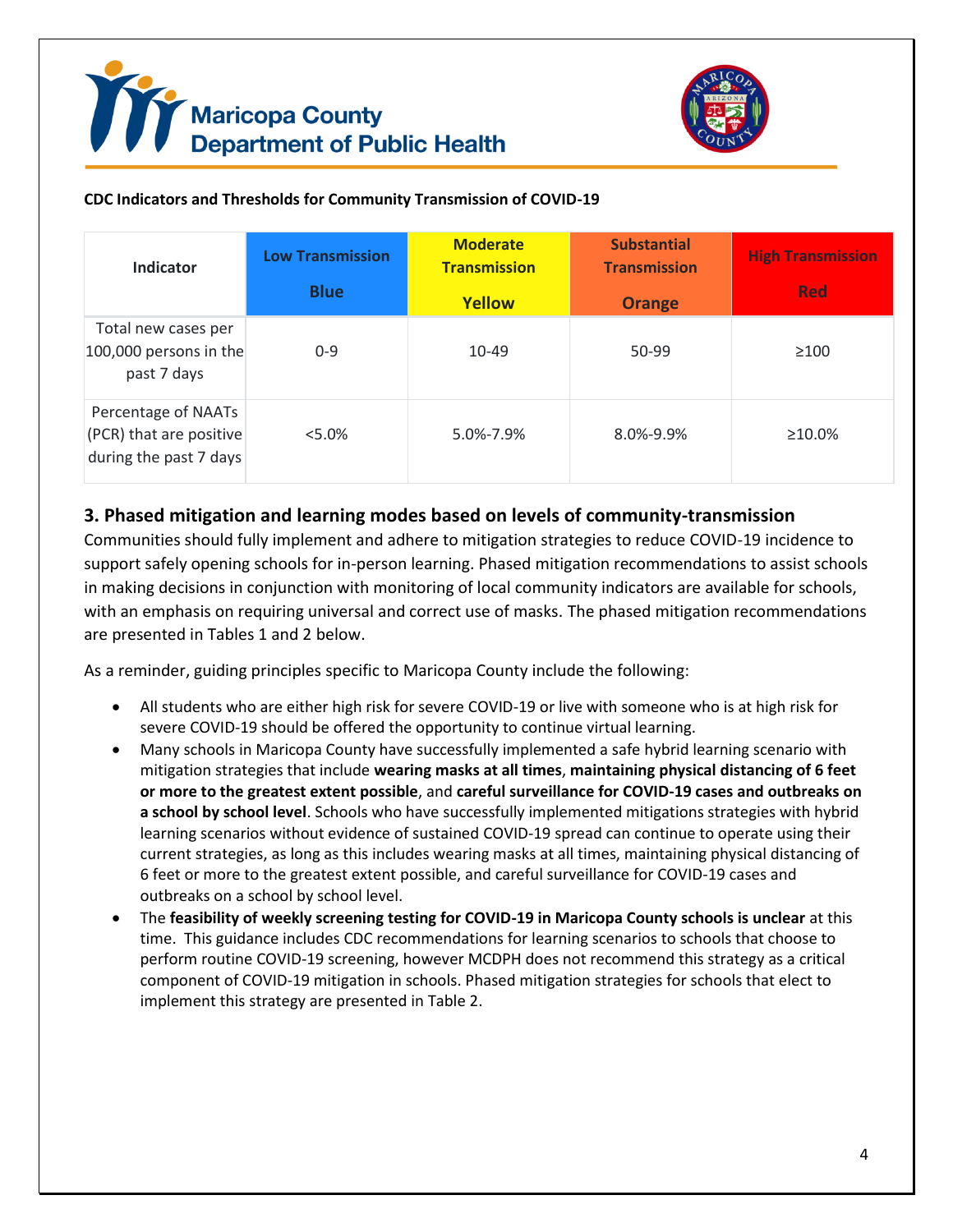



#### **CDC Indicators and Thresholds for Community Transmission of COVID-19**

| Indicator                                                                | <b>Low Transmission</b><br><b>Blue</b> | <b>Moderate</b><br><b>Transmission</b><br><b>Yellow</b> | <b>Substantial</b><br><b>Transmission</b><br><b>Orange</b> | <b>High Transmission</b><br><b>Red</b> |
|--------------------------------------------------------------------------|----------------------------------------|---------------------------------------------------------|------------------------------------------------------------|----------------------------------------|
| Total new cases per<br>100,000 persons in the<br>past 7 days             | $0 - 9$                                | 10-49                                                   | 50-99                                                      | $\geq 100$                             |
| Percentage of NAATs<br>(PCR) that are positive<br>during the past 7 days | $5.0\%$                                | 5.0%-7.9%                                               | $8.0\% - 9.9\%$                                            | $\geq 10.0\%$                          |

#### <span id="page-3-0"></span>**3. Phased mitigation and learning modes based on levels of community-transmission**

Communities should fully implement and adhere to mitigation strategies to reduce COVID-19 incidence to support safely opening schools for in-person learning. Phased mitigation recommendations to assist schools in making decisions in conjunction with monitoring of local community indicators are available for schools, with an emphasis on requiring universal and correct use of masks. The phased mitigation recommendations are presented in Tables 1 and 2 below.

As a reminder, guiding principles specific to Maricopa County include the following:

- All students who are either high risk for severe COVID-19 or live with someone who is at high risk for severe COVID-19 should be offered the opportunity to continue virtual learning.
- Many schools in Maricopa County have successfully implemented a safe hybrid learning scenario with mitigation strategies that include **wearing masks at all times**, **maintaining physical distancing of 6 feet or more to the greatest extent possible**, and **careful surveillance for COVID-19 cases and outbreaks on a school by school level**. Schools who have successfully implemented mitigations strategies with hybrid learning scenarios without evidence of sustained COVID-19 spread can continue to operate using their current strategies, as long as this includes wearing masks at all times, maintaining physical distancing of 6 feet or more to the greatest extent possible, and careful surveillance for COVID-19 cases and outbreaks on a school by school level.
- The **feasibility of weekly screening testing for COVID-19 in Maricopa County schools is unclear** at this time. This guidance includes CDC recommendations for learning scenarios to schools that choose to perform routine COVID-19 screening, however MCDPH does not recommend this strategy as a critical component of COVID-19 mitigation in schools. Phased mitigation strategies for schools that elect to implement this strategy are presented in Table 2.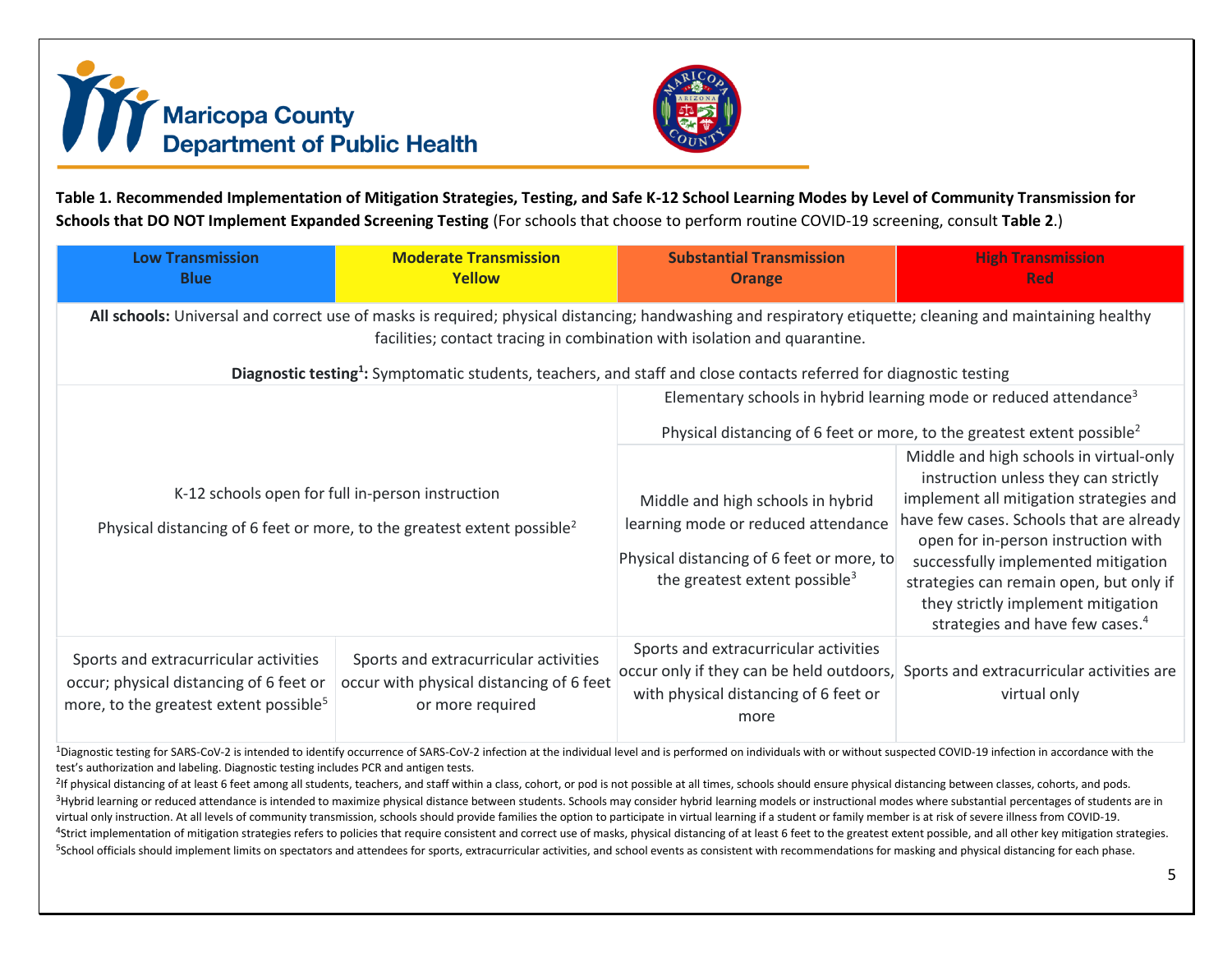



**Table 1. Recommended Implementation of Mitigation Strategies, Testing, and Safe K-12 School Learning Modes by Level of Community Transmission for Schools that DO NOT Implement Expanded Screening Testing** (For schools that choose to perform routine COVID-19 screening, consult **Table 2**.)

| <b>Low Transmission</b><br><b>Blue</b>                                                                                                                                                                                                 | <b>Moderate Transmission</b><br><b>Yellow</b>                                                                                           | <b>Substantial Transmission</b><br><b>Orange</b>                                                                                                                     | <b>High Transmission</b><br><b>Red</b>                                                                                                                                                                                                                                                                                                                                               |  |  |  |  |  |
|----------------------------------------------------------------------------------------------------------------------------------------------------------------------------------------------------------------------------------------|-----------------------------------------------------------------------------------------------------------------------------------------|----------------------------------------------------------------------------------------------------------------------------------------------------------------------|--------------------------------------------------------------------------------------------------------------------------------------------------------------------------------------------------------------------------------------------------------------------------------------------------------------------------------------------------------------------------------------|--|--|--|--|--|
| All schools: Universal and correct use of masks is required; physical distancing; handwashing and respiratory etiquette; cleaning and maintaining healthy<br>facilities; contact tracing in combination with isolation and quarantine. |                                                                                                                                         |                                                                                                                                                                      |                                                                                                                                                                                                                                                                                                                                                                                      |  |  |  |  |  |
| Diagnostic testing <sup>1</sup> : Symptomatic students, teachers, and staff and close contacts referred for diagnostic testing                                                                                                         |                                                                                                                                         |                                                                                                                                                                      |                                                                                                                                                                                                                                                                                                                                                                                      |  |  |  |  |  |
|                                                                                                                                                                                                                                        |                                                                                                                                         | Elementary schools in hybrid learning mode or reduced attendance <sup>3</sup><br>Physical distancing of 6 feet or more, to the greatest extent possible <sup>2</sup> |                                                                                                                                                                                                                                                                                                                                                                                      |  |  |  |  |  |
|                                                                                                                                                                                                                                        | K-12 schools open for full in-person instruction<br>Physical distancing of 6 feet or more, to the greatest extent possible <sup>2</sup> | Middle and high schools in hybrid<br>learning mode or reduced attendance<br>Physical distancing of 6 feet or more, to<br>the greatest extent possible <sup>3</sup>   | Middle and high schools in virtual-only<br>instruction unless they can strictly<br>implement all mitigation strategies and<br>have few cases. Schools that are already<br>open for in-person instruction with<br>successfully implemented mitigation<br>strategies can remain open, but only if<br>they strictly implement mitigation<br>strategies and have few cases. <sup>4</sup> |  |  |  |  |  |
| Sports and extracurricular activities<br>occur; physical distancing of 6 feet or<br>more, to the greatest extent possible <sup>5</sup>                                                                                                 | Sports and extracurricular activities<br>occur with physical distancing of 6 feet<br>or more required                                   | Sports and extracurricular activities<br>occur only if they can be held outdoors,<br>with physical distancing of 6 feet or<br>more                                   | Sports and extracurricular activities are<br>virtual only                                                                                                                                                                                                                                                                                                                            |  |  |  |  |  |

<sup>1</sup>Diagnostic testing for SARS-CoV-2 is intended to identify occurrence of SARS-CoV-2 infection at the individual level and is performed on individuals with or without suspected COVID-19 infection in accordance with the test's authorization and labeling. Diagnostic testing includes PCR and antigen tests.

<sup>2</sup>If physical distancing of at least 6 feet among all students, teachers, and staff within a class, cohort, or pod is not possible at all times, schools should ensure physical distancing between classes, cohorts, and pods <sup>3</sup>Hybrid learning or reduced attendance is intended to maximize physical distance between students. Schools may consider hybrid learning models or instructional modes where substantial percentages of students are in virtual only instruction. At all levels of community transmission, schools should provide families the option to participate in virtual learning if a student or family member is at risk of severe illness from COVID-19. <sup>4</sup>Strict implementation of mitigation strategies refers to policies that require consistent and correct use of masks, physical distancing of at least 6 feet to the greatest extent possible, and all other key mitigation st <sup>5</sup>School officials should implement limits on spectators and attendees for sports, extracurricular activities, and school events as consistent with recommendations for masking and physical distancing for each phase.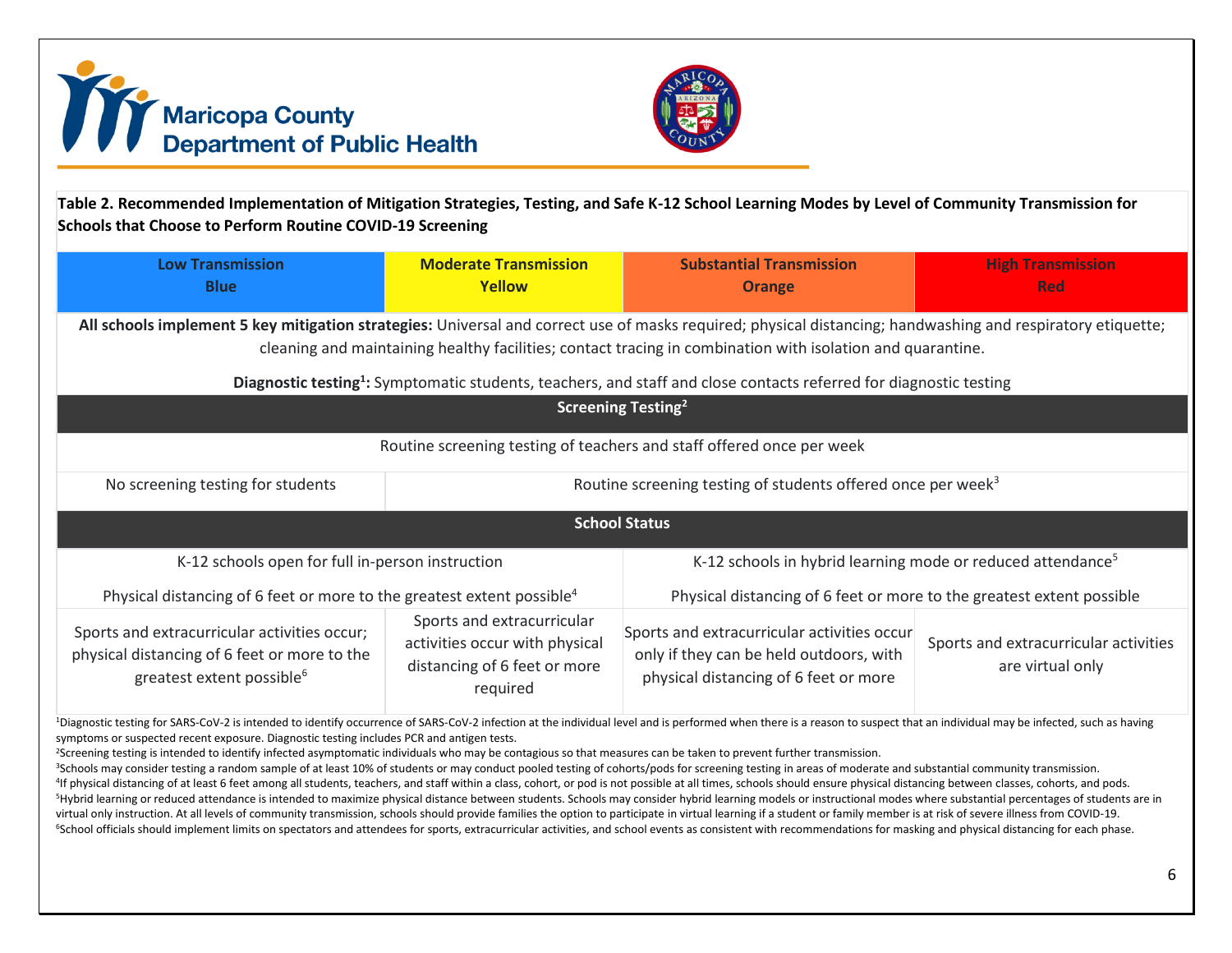



**Table 2. Recommended Implementation of Mitigation Strategies, Testing, and Safe K-12 School Learning Modes by Level of Community Transmission for Schools that Choose to Perform Routine COVID-19 Screening**

| <b>Low Transmission</b><br><b>Blue</b>                                                                                                                                                                                                                                                                                                                                                                                                                                                                                | <b>Moderate Transmission</b><br>Yellow                                                                   | <b>Substantial Transmission</b><br><b>Orange</b>                                                                                | <b>High Transmission</b><br><b>Red</b>                    |  |  |  |  |
|-----------------------------------------------------------------------------------------------------------------------------------------------------------------------------------------------------------------------------------------------------------------------------------------------------------------------------------------------------------------------------------------------------------------------------------------------------------------------------------------------------------------------|----------------------------------------------------------------------------------------------------------|---------------------------------------------------------------------------------------------------------------------------------|-----------------------------------------------------------|--|--|--|--|
| All schools implement 5 key mitigation strategies: Universal and correct use of masks required; physical distancing; handwashing and respiratory etiquette;<br>cleaning and maintaining healthy facilities; contact tracing in combination with isolation and quarantine.<br>Diagnostic testing <sup>1</sup> : Symptomatic students, teachers, and staff and close contacts referred for diagnostic testing                                                                                                           |                                                                                                          |                                                                                                                                 |                                                           |  |  |  |  |
| Screening Testing <sup>2</sup>                                                                                                                                                                                                                                                                                                                                                                                                                                                                                        |                                                                                                          |                                                                                                                                 |                                                           |  |  |  |  |
| Routine screening testing of teachers and staff offered once per week                                                                                                                                                                                                                                                                                                                                                                                                                                                 |                                                                                                          |                                                                                                                                 |                                                           |  |  |  |  |
| No screening testing for students                                                                                                                                                                                                                                                                                                                                                                                                                                                                                     | Routine screening testing of students offered once per week <sup>3</sup>                                 |                                                                                                                                 |                                                           |  |  |  |  |
| <b>School Status</b>                                                                                                                                                                                                                                                                                                                                                                                                                                                                                                  |                                                                                                          |                                                                                                                                 |                                                           |  |  |  |  |
| K-12 schools open for full in-person instruction                                                                                                                                                                                                                                                                                                                                                                                                                                                                      |                                                                                                          | K-12 schools in hybrid learning mode or reduced attendance <sup>5</sup>                                                         |                                                           |  |  |  |  |
| Physical distancing of 6 feet or more to the greatest extent possible <sup>4</sup>                                                                                                                                                                                                                                                                                                                                                                                                                                    |                                                                                                          | Physical distancing of 6 feet or more to the greatest extent possible                                                           |                                                           |  |  |  |  |
| Sports and extracurricular activities occur;<br>physical distancing of 6 feet or more to the<br>greatest extent possible <sup>6</sup>                                                                                                                                                                                                                                                                                                                                                                                 | Sports and extracurricular<br>activities occur with physical<br>distancing of 6 feet or more<br>required | Sports and extracurricular activities occur<br>only if they can be held outdoors, with<br>physical distancing of 6 feet or more | Sports and extracurricular activities<br>are virtual only |  |  |  |  |
| <sup>1</sup> Diagnostic testing for SARS-CoV-2 is intended to identify occurrence of SARS-CoV-2 infection at the individual level and is performed when there is a reason to suspect that an individual may be infected, such as having<br>symptoms or suspected recent exposure. Diagnostic testing includes PCR and antigen tests.<br><sup>2</sup> Screening testing is intended to identify infected asymptomatic individuals who may be contagious so that measures can be taken to prevent further transmission. |                                                                                                          |                                                                                                                                 |                                                           |  |  |  |  |

<sup>3</sup>Schools may consider testing a random sample of at least 10% of students or may conduct pooled testing of cohorts/pods for screening testing in areas of moderate and substantial community transmission. <sup>4</sup>If physical distancing of at least 6 feet among all students, teachers, and staff within a class, cohort, or pod is not possible at all times, schools should ensure physical distancing between classes, cohorts, and pods <sup>5</sup>Hybrid learning or reduced attendance is intended to maximize physical distance between students. Schools may consider hybrid learning models or instructional modes where substantial percentages of students are in virtual only instruction. At all levels of community transmission, schools should provide families the option to participate in virtual learning if a student or family member is at risk of severe illness from COVID-19. <sup>6</sup>School officials should implement limits on spectators and attendees for sports, extracurricular activities, and school events as consistent with recommendations for masking and physical distancing for each phase.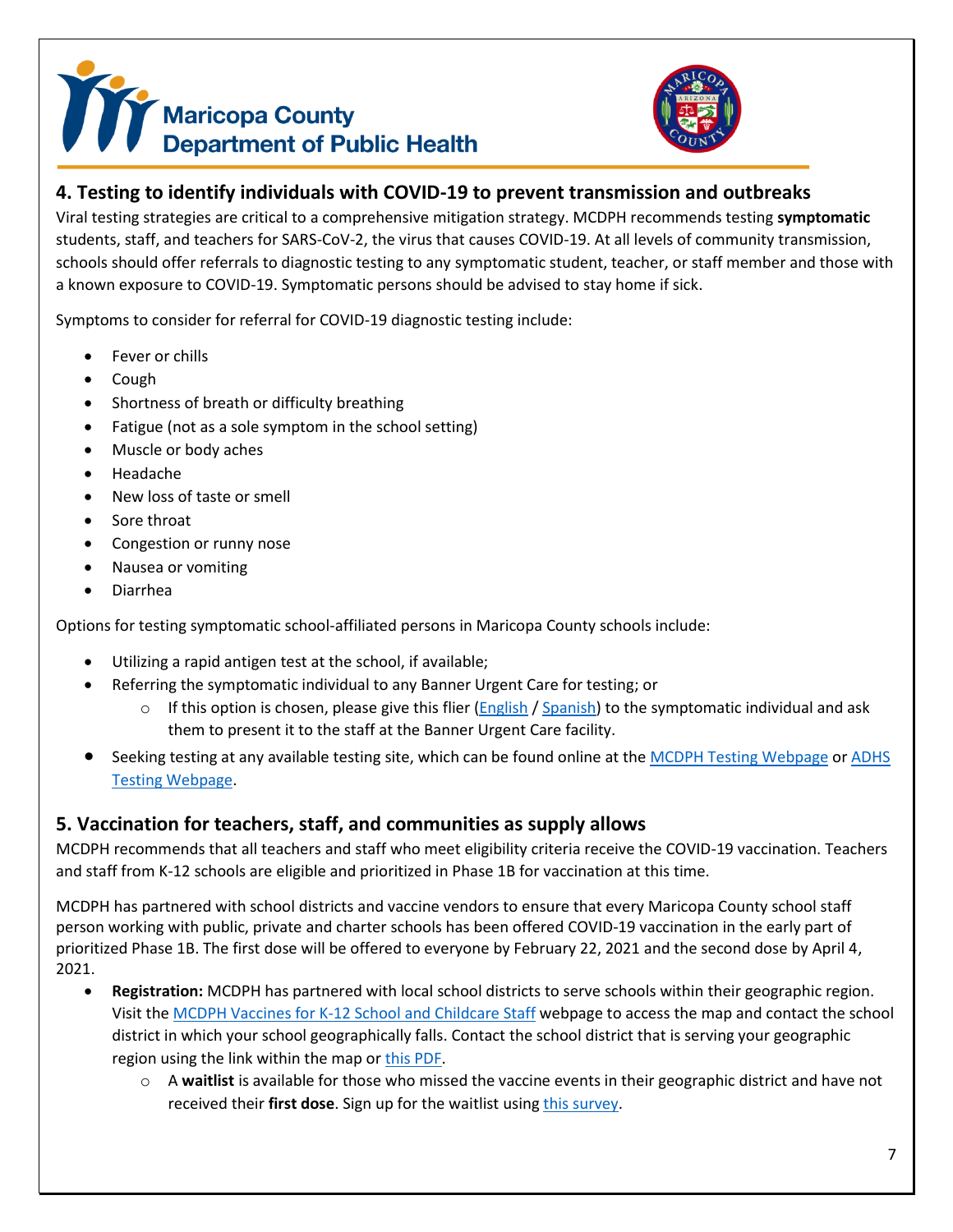# Maricopa County<br>Department of Public Health



# <span id="page-6-0"></span>**4. Testing to identify individuals with COVID-19 to prevent transmission and outbreaks**

Viral testing strategies are critical to a comprehensive mitigation strategy. MCDPH recommends testing **symptomatic**  students, staff, and teachers for SARS-CoV-2, the virus that causes COVID-19. At all levels of community transmission, schools should offer referrals to diagnostic testing to any symptomatic student, teacher, or staff member and those with a known exposure to COVID-19. Symptomatic persons should be advised to stay home if sick.

Symptoms to consider for referral for COVID-19 diagnostic testing include:

- Fever or chills
- Cough
- Shortness of breath or difficulty breathing
- Fatigue (not as a sole symptom in the school setting)
- Muscle or body aches
- Headache
- New loss of taste or smell
- Sore throat
- Congestion or runny nose
- Nausea or vomiting
- Diarrhea

Options for testing symptomatic school-affiliated persons in Maricopa County schools include:

- Utilizing a rapid antigen test at the school, if available;
- Referring the symptomatic individual to any Banner Urgent Care for testing; or
	- $\circ$  If this option is chosen, please give this flier [\(English](https://www.maricopa.gov/DocumentCenter/View/64612/COVID-19-Testing-UC-Flyer-English) [/ Spanish\)](https://www.maricopa.gov/DocumentCenter/View/64613/COVID-19-Testing-UC-Flyer-Spanish) to the symptomatic individual and ask them to present it to the staff at the Banner Urgent Care facility.
- Seeking testing at any available testing site, which can be found online at th[e MCDPH Testing Webpage](https://www.maricopa.gov/5588/COVID-19-Testing) or ADHS Testing [Webpage.](https://azdhs.gov/preparedness/epidemiology-disease-control/infectious-disease-epidemiology/index.php#novel-coronavirus-testing)

# <span id="page-6-1"></span>**5. Vaccination for teachers, staff, and communities as supply allows**

MCDPH recommends that all teachers and staff who meet eligibility criteria receive the COVID-19 vaccination. Teachers and staff from K-12 schools are eligible and prioritized in Phase 1B for vaccination at this time.

MCDPH has partnered with school districts and vaccine vendors to ensure that every Maricopa County school staff person working with public, private and charter schools has been offered COVID-19 vaccination in the early part of prioritized Phase 1B. The first dose will be offered to everyone by February 22, 2021 and the second dose by April 4, 2021.

- **Registration:** MCDPH has partnered with local school districts to serve schools within their geographic region. Visit the [MCDPH Vaccines for K-12 School and Childcare Staff](https://www.maricopa.gov/5672/Vaccines-for-School-and-Childcare-Staff) webpage to access the map and contact the school district in which your school geographically falls. Contact the school district that is serving your geographic region using the link within the map o[r this PDF.](https://www.maricopa.gov/DocumentCenter/View/66354/School_Vaccine_POD_District_Contact_Info?bidId=)
	- o A **waitlist** is available for those who missed the vaccine events in their geographic district and have not received their **first dose**. Sign up for the waitlist using [this survey.](https://survey.alchemer.com/s3/6167214/Closed-School-POD-Waiting-List-Survey)